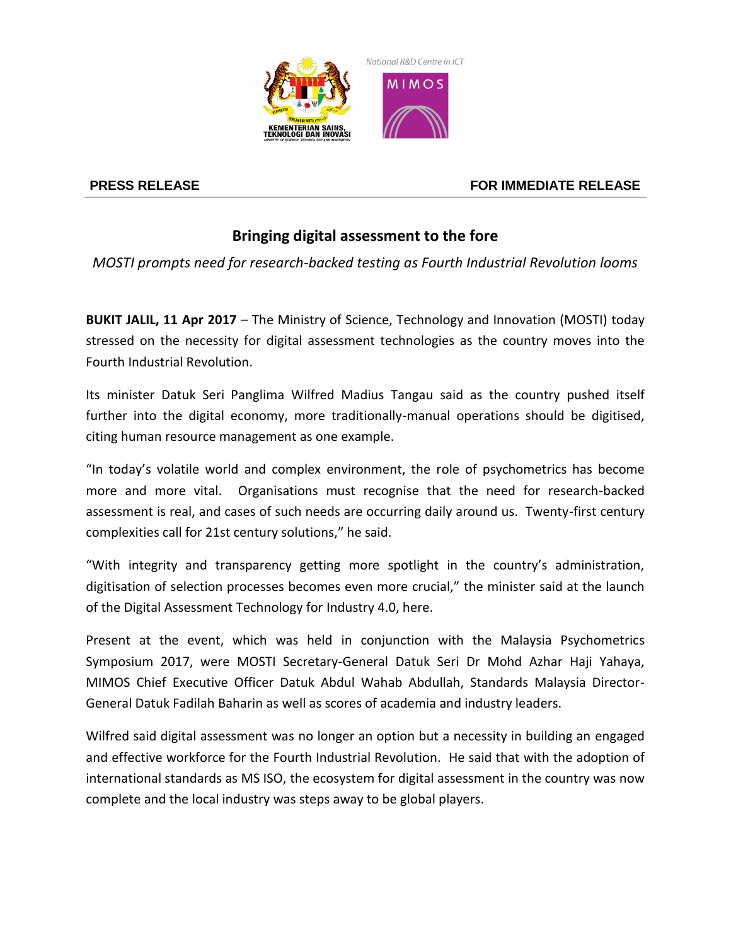

## **PRESS RELEASE FOR IMMEDIATE RELEASE**

## **Bringing digital assessment to the fore**

*MOSTI prompts need for research-backed testing as Fourth Industrial Revolution looms*

**BUKIT JALIL, 11 Apr 2017** – The Ministry of Science, Technology and Innovation (MOSTI) today stressed on the necessity for digital assessment technologies as the country moves into the Fourth Industrial Revolution.

Its minister Datuk Seri Panglima Wilfred Madius Tangau said as the country pushed itself further into the digital economy, more traditionally-manual operations should be digitised, citing human resource management as one example.

"In today's volatile world and complex environment, the role of psychometrics has become more and more vital. Organisations must recognise that the need for research-backed assessment is real, and cases of such needs are occurring daily around us. Twenty-first century complexities call for 21st century solutions," he said.

"With integrity and transparency getting more spotlight in the country's administration, digitisation of selection processes becomes even more crucial," the minister said at the launch of the Digital Assessment Technology for Industry 4.0, here.

Present at the event, which was held in conjunction with the Malaysia Psychometrics Symposium 2017, were MOSTI Secretary-General Datuk Seri Dr Mohd Azhar Haji Yahaya, MIMOS Chief Executive Officer Datuk Abdul Wahab Abdullah, Standards Malaysia Director-General Datuk Fadilah Baharin as well as scores of academia and industry leaders.

Wilfred said digital assessment was no longer an option but a necessity in building an engaged and effective workforce for the Fourth Industrial Revolution. He said that with the adoption of international standards as MS ISO, the ecosystem for digital assessment in the country was now complete and the local industry was steps away to be global players.